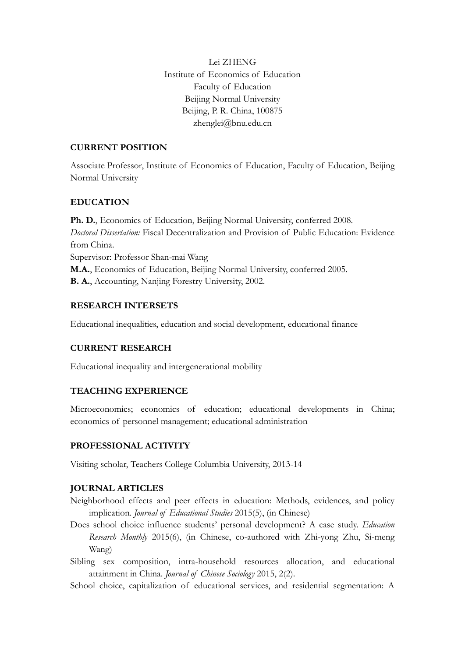Lei ZHENG Institute of Economics of Education Faculty of Education Beijing Normal University Beijing, P. R. China, 100875 zhenglei@bnu.edu.cn

## **CURRENT POSITION**

Associate Professor, Institute of Economics of Education, Faculty of Education, Beijing Normal University

# **EDUCATION**

**Ph. D.**, Economics of Education, Beijing Normal University, conferred 2008. *Doctoral Dissertation:* Fiscal Decentralization and Provision of Public Education: Evidence from China. Supervisor: Professor Shan-mai Wang **M.A.**, Economics of Education, Beijing Normal University, conferred 2005. **B. A.**, Accounting, Nanjing Forestry University, 2002.

## **RESEARCH INTERSETS**

Educational inequalities, education and social development, educational finance

## **CURRENT RESEARCH**

Educational inequality and intergenerational mobility

## **TEACHING EXPERIENCE**

Microeconomics; economics of education; educational developments in China; economics of personnel management; educational administration

## **PROFESSIONAL ACTIVITY**

Visiting scholar, Teachers College Columbia University, 2013-14

## **JOURNAL ARTICLES**

- Neighborhood effects and peer effects in education: Methods, evidences, and policy implication. *Journal of Educational Studies* 2015(5), (in Chinese)
- Does school choice influence students' personal development? A case study. *Education Research Monthly* 2015(6), (in Chinese, co-authored with Zhi-yong Zhu, Si-meng Wang)
- Sibling sex composition, intra-household resources allocation, and educational attainment in China. *Journal of Chinese Sociology* 2015, 2(2).
- School choice, capitalization of educational services, and residential segmentation: A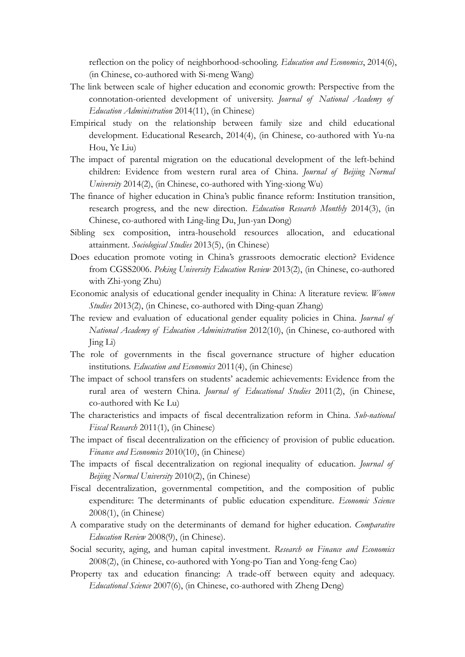reflection on the policy of neighborhood-schooling. *Education and Economics*, 2014(6), (in Chinese, co-authored with Si-meng Wang)

- The link between scale of higher education and economic growth: Perspective from the connotation-oriented development of university. *Journal of National Academy of Education Administration* 2014(11), (in Chinese)
- Empirical study on the relationship between family size and child educational development. Educational Research, 2014(4), (in Chinese, co-authored with Yu-na Hou, Ye Liu)
- The impact of parental migration on the educational development of the left-behind children: Evidence from western rural area of China. *Journal of Beijing Normal University* 2014(2), (in Chinese, co-authored with Ying-xiong Wu)
- The finance of higher education in China's public finance reform: Institution transition, research progress, and the new direction. *Education Research Monthly* 2014(3), (in Chinese, co-authored with Ling-ling Du, Jun-yan Dong)
- Sibling sex composition, intra-household resources allocation, and educational attainment. *Sociological Studies* 2013(5), (in Chinese)
- Does education promote voting in China's grassroots democratic election? Evidence from CGSS2006. *Peking University Education Review* 2013(2), (in Chinese, co-authored with Zhi-yong Zhu)
- Economic analysis of educational gender inequality in China: A literature review. *Women Studies* 2013(2), (in Chinese, co-authored with Ding-quan Zhang)
- The review and evaluation of educational gender equality policies in China. *Journal of National Academy of Education Administration* 2012(10), (in Chinese, co-authored with Jing Li)
- The role of governments in the fiscal governance structure of higher education institutions. *Education and Economics* 2011(4), (in Chinese)
- The impact of school transfers on students' academic achievements: Evidence from the rural area of western China. *Journal of Educational Studies* 2011(2), (in Chinese, co-authored with Ke Lu)
- The characteristics and impacts of fiscal decentralization reform in China. *Sub-national Fiscal Research* 2011(1), (in Chinese)
- The impact of fiscal decentralization on the efficiency of provision of public education. *Finance and Economics* 2010(10), (in Chinese)
- The impacts of fiscal decentralization on regional inequality of education. *Journal of Beijing Normal University* 2010(2), (in Chinese)
- Fiscal decentralization, governmental competition, and the composition of public expenditure: The determinants of public education expenditure. *Economic Science* 2008(1), (in Chinese)
- A comparative study on the determinants of demand for higher education. *Comparative Education Review* 2008(9), (in Chinese).
- Social security, aging, and human capital investment. *Research on Finance and Economics* 2008(2), (in Chinese, co-authored with Yong-po Tian and Yong-feng Cao)
- Property tax and education financing: A trade-off between equity and adequacy. *Educational Science* 2007(6), (in Chinese, co-authored with Zheng Deng)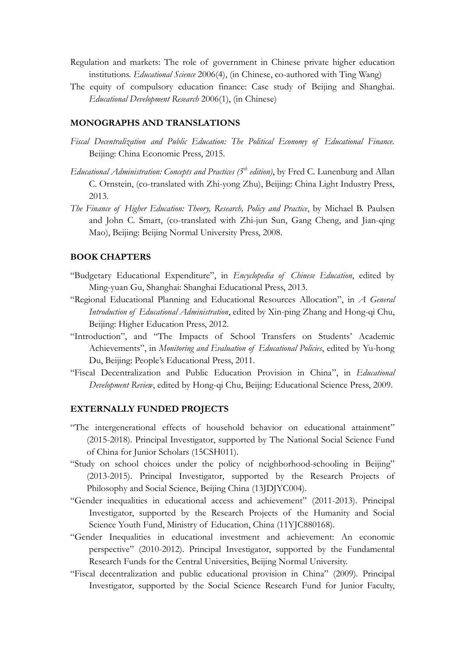- Regulation and markets: The role of government in Chinese private higher education institutions. *Educational Science* 2006(4), (in Chinese, co-authored with Ting Wang)
- The equity of compulsory education finance: Case study of Beijing and Shanghai. *Educational Development Research* 2006(1), (in Chinese)

#### **MONOGRAPHS AND TRANSLATIONS**

- *Fiscal Decentralization and Public Education: The Political Economy of Educational Finance.*  Beijing: China Economic Press, 2015.
- *Educational Administration: Concepts and Practices (5th edition)*, by Fred C. Lunenburg and Allan C. Ornstein, (co-translated with Zhi-yong Zhu), Beijing: China Light Industry Press, 2013.
- *The Finance of Higher Education: Theory, Research, Policy and Practice*, by Michael B. Paulsen and John C. Smart, (co-translated with Zhi-jun Sun, Gang Cheng, and Jian-qing Mao), Beijing: Beijing Normal University Press, 2008.

#### **BOOK CHAPTERS**

- "Budgetary Educational Expenditure", in *Encyclopedia of Chinese Education*, edited by Ming-yuan Gu, Shanghai: Shanghai Educational Press, 2013.
- "Regional Educational Planning and Educational Resources Allocation", in *A General Introduction of Educational Administration*, edited by Xin-ping Zhang and Hong-qi Chu, Beijing: Higher Education Press, 2012.
- "Introduction", and "The Impacts of School Transfers on Students' Academic Achievements", in *Monitoring and Evaluation of Educational Policies*, edited by Yu-hong Du, Beijing: People's Educational Press, 2011.
- "Fiscal Decentralization and Public Education Provision in China", in *Educational Development Review*, edited by Hong-qi Chu, Beijing: Educational Science Press, 2009.

#### **EXTERNALLY FUNDED PROJECTS**

- "The intergenerational effects of household behavior on educational attainment" (2015-2018). Principal Investigator, supported by The National Social Science Fund of China for Junior Scholars (15CSH011).
- "Study on school choices under the policy of neighborhood-schooling in Beijing" (2013-2015). Principal Investigator, supported by the Research Projects of Philosophy and Social Science, Beijing China (13JDJYC004).
- "Gender inequalities in educational access and achievement" (2011-2013). Principal Investigator, supported by the Research Projects of the Humanity and Social Science Youth Fund, Ministry of Education, China (11YJC880168).
- "Gender Inequalities in educational investment and achievement: An economic perspective" (2010-2012). Principal Investigator, supported by the Fundamental Research Funds for the Central Universities, Beijing Normal University.
- "Fiscal decentralization and public educational provision in China" (2009). Principal Investigator, supported by the Social Science Research Fund for Junior Faculty,